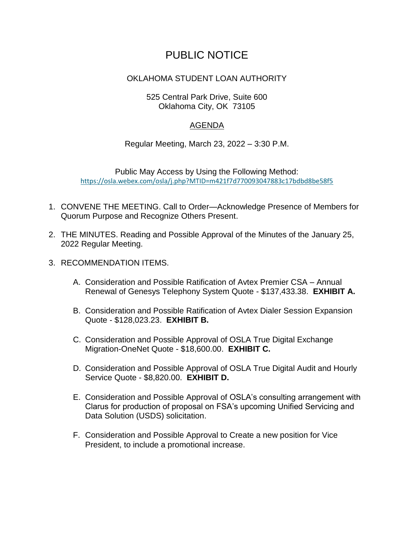## PUBLIC NOTICE

## OKLAHOMA STUDENT LOAN AUTHORITY

## 525 Central Park Drive, Suite 600 Oklahoma City, OK 73105

## AGENDA

Regular Meeting, March 23, 2022 – 3:30 P.M.

Public May Access by Using the Following Method: [https://osla.webex.com/osla/j.php?MTID=m421f7d770093047883c17bdbd8be58f5](https://urldefense.proofpoint.com/v2/url?u=https-3A__osla.webex.com_osla_j.php-3FMTID-3Dm421f7d770093047883c17bdbd8be58f5&d=DwMGaQ&c=euGZstcaTDllvimEN8b7jXrwqOf-v5A_CdpgnVfiiMM&r=s9SO90rVKZyBvZipALf1Sw&m=-L0XzRjNBldy6uzkkXi21keYkjf4Bv-O_IMxWI9Ec3M&s=P5oEu6xlO4YXc3GUfas7dY_V91dwUu7P1r3wZlA2Pyg&e=)

- 1. CONVENE THE MEETING. Call to Order—Acknowledge Presence of Members for Quorum Purpose and Recognize Others Present.
- 2. THE MINUTES. Reading and Possible Approval of the Minutes of the January 25, 2022 Regular Meeting.
- 3. RECOMMENDATION ITEMS.
	- A. Consideration and Possible Ratification of Avtex Premier CSA Annual Renewal of Genesys Telephony System Quote - \$137,433.38. **EXHIBIT A.**
	- B. Consideration and Possible Ratification of Avtex Dialer Session Expansion Quote - \$128,023.23. **EXHIBIT B.**
	- C. Consideration and Possible Approval of OSLA True Digital Exchange Migration-OneNet Quote - \$18,600.00. **EXHIBIT C.**
	- D. Consideration and Possible Approval of OSLA True Digital Audit and Hourly Service Quote - \$8,820.00. **EXHIBIT D.**
	- E. Consideration and Possible Approval of OSLA's consulting arrangement with Clarus for production of proposal on FSA's upcoming Unified Servicing and Data Solution (USDS) solicitation.
	- F. Consideration and Possible Approval to Create a new position for Vice President, to include a promotional increase.